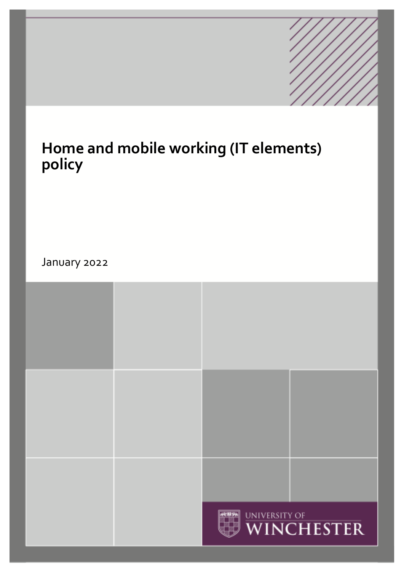# **Home and mobile working (IT elements) policy**

January 2022

|  | $\frac{1}{2}$ | UNIVERSITY OF WINCHESTER |
|--|---------------|--------------------------|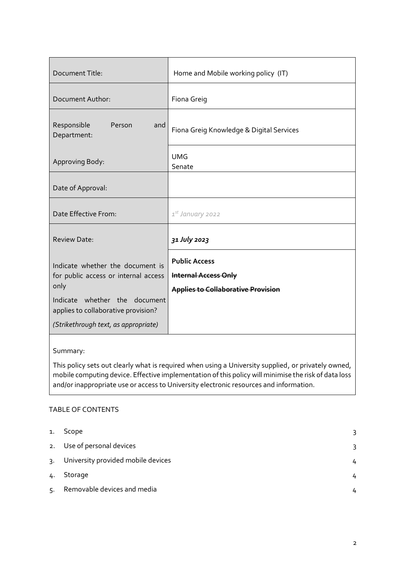| Document Title:                                                                                                                                                                                  | Home and Mobile working policy (IT)                                                              |
|--------------------------------------------------------------------------------------------------------------------------------------------------------------------------------------------------|--------------------------------------------------------------------------------------------------|
| Document Author:                                                                                                                                                                                 | Fiona Greig                                                                                      |
| Responsible<br>Person<br>and<br>Department:                                                                                                                                                      | Fiona Greig Knowledge & Digital Services                                                         |
| Approving Body:                                                                                                                                                                                  | <b>UMG</b><br>Senate                                                                             |
| Date of Approval:                                                                                                                                                                                |                                                                                                  |
| Date Effective From:                                                                                                                                                                             | 1st January 2022                                                                                 |
| <b>Review Date:</b>                                                                                                                                                                              | 31 July 2023                                                                                     |
| Indicate whether the document is<br>for public access or internal access<br>only<br>Indicate whether the document<br>applies to collaborative provision?<br>(Strikethrough text, as appropriate) | <b>Public Access</b><br><b>Internal Access Only</b><br><b>Applies to Collaborative Provision</b> |

### Summary:

This policy sets out clearly what is required when using a University supplied, or privately owned, mobile computing device. Effective implementation of this policy will minimise the risk of data loss and/or inappropriate use or access to University electronic resources and information.

#### TABLE OF CONTENTS

| 1.           | Scope                              | 3 |
|--------------|------------------------------------|---|
|              | 2. Use of personal devices         |   |
| $\mathsf{R}$ | University provided mobile devices |   |
| 4.           | Storage                            |   |
| 5.           | Removable devices and media        |   |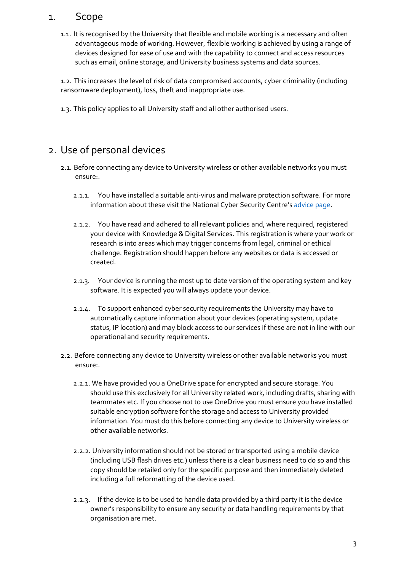### 1. Scope

<span id="page-2-0"></span>1.1. It is recognised by the University that flexible and mobile working is a necessary and often advantageous mode of working. However, flexible working is achieved by using a range of devices designed for ease of use and with the capability to connect and access resources such as email, online storage, and University business systems and data sources.

1.2. This increases the level of risk of data compromised accounts, cyber criminality (including ransomware deployment), loss, theft and inappropriate use.

1.3. This policy applies to all University staff and all other authorised users.

# <span id="page-2-1"></span>2. Use of personal devices

- 2.1. Before connecting any device to University wireless or other available networks you must ensure:.
	- 2.1.1. You have installed a suitable anti-virus and malware protection software. For more information about these visit the National Cyber Security Centre's [advice page.](https://www.ncsc.gov.uk/collection/device-security-guidance/policies-and-settings/antivirus-and-other-security-software)
	- 2.1.2. You have read and adhered to all relevant policies and, where required, registered your device with Knowledge & Digital Services. This registration is where your work or research is into areas which may trigger concerns from legal, criminal or ethical challenge. Registration should happen before any websites or data is accessed or created.
	- 2.1.3. Your device is running the most up to date version of the operating system and key software. It is expected you will always update your device.
	- 2.1.4. To support enhanced cyber security requirements the University may have to automatically capture information about your devices (operating system, update status, IP location) and may block access to our services if these are not in line with our operational and security requirements.
- 2.2. Before connecting any device to University wireless or other available networks you must ensure:.
	- 2.2.1. We have provided you a OneDrive space for encrypted and secure storage. You should use this exclusively for all University related work, including drafts, sharing with teammates etc. If you choose not to use OneDrive you must ensure you have installed suitable encryption software for the storage and access to University provided information. You must do this before connecting any device to University wireless or other available networks.
	- 2.2.2. University information should not be stored or transported using a mobile device (including USB flash drives etc.) unless there is a clear business need to do so and this copy should be retailed only for the specific purpose and then immediately deleted including a full reformatting of the device used.
	- 2.2.3. If the device is to be used to handle data provided by a third party it is the device owner's responsibility to ensure any security or data handling requirements by that organisation are met.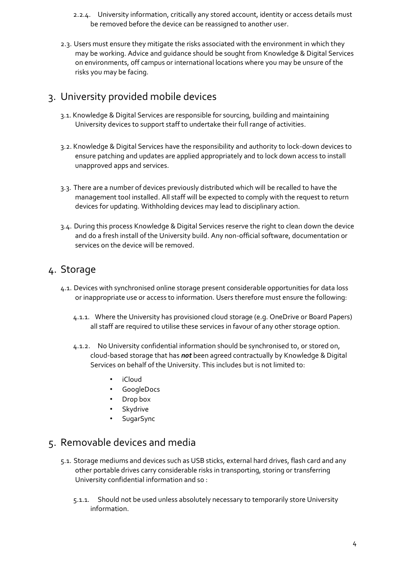- 2.2.4. University information, critically any stored account, identity or access details must be removed before the device can be reassigned to another user.
- 2.3. Users must ensure they mitigate the risks associated with the environment in which they may be working. Advice and guidance should be sought from Knowledge & Digital Services on environments, off campus or international locations where you may be unsure of the risks you may be facing.

# <span id="page-3-0"></span>3. University provided mobile devices

- 3.1. Knowledge & Digital Services are responsible for sourcing, building and maintaining University devices to support staff to undertake their full range of activities.
- 3.2. Knowledge & Digital Services have the responsibility and authority to lock-down devices to ensure patching and updates are applied appropriately and to lock down access to install unapproved apps and services.
- 3.3. There are a number of devices previously distributed which will be recalled to have the management tool installed. All staff will be expected to comply with the request to return devices for updating. Withholding devices may lead to disciplinary action.
- 3.4. During this process Knowledge & Digital Services reserve the right to clean down the device and do a fresh install of the University build. Any non-official software, documentation or services on the device will be removed.

## <span id="page-3-1"></span>4. Storage

- 4.1. Devices with synchronised online storage present considerable opportunities for data loss or inappropriate use or access to information. Users therefore must ensure the following:
	- 4.1.1. Where the University has provisioned cloud storage (e.g. OneDrive or Board Papers) all staff are required to utilise these services in favour of any other storage option.
	- 4.1.2. No University confidential information should be synchronised to, or stored on, cloud-based storage that has *not* been agreed contractually by Knowledge & Digital Services on behalf of the University. This includes but is not limited to:
		- iCloud
		- GoogleDocs
		- Drop box
		- **Skydrive**
		- **SugarSync**

### <span id="page-3-2"></span>5. Removable devices and media

- 5.1. Storage mediums and devices such as USB sticks, external hard drives, flash card and any other portable drives carry considerable risks in transporting, storing or transferring University confidential information and so :
	- 5.1.1. Should not be used unless absolutely necessary to temporarily store University information.